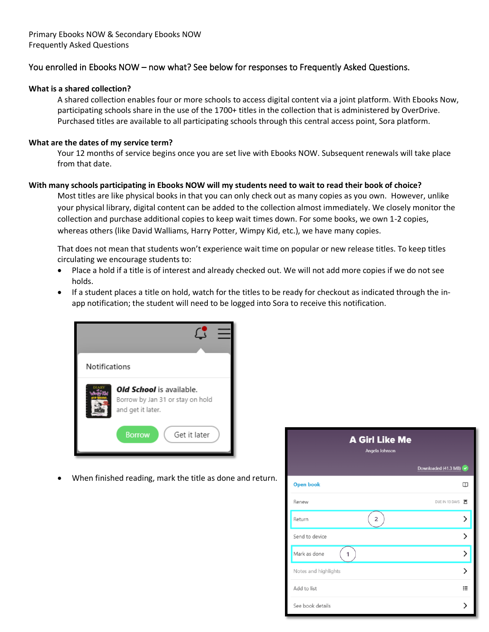# You enrolled in Ebooks NOW – now what? See below for responses to Frequently Asked Questions.

### **What is a shared collection?**

A shared collection enables four or more schools to access digital content via a joint platform. With Ebooks Now, participating schools share in the use of the 1700+ titles in the collection that is administered by OverDrive. Purchased titles are available to all participating schools through this central access point, Sora platform.

### **What are the dates of my service term?**

Your 12 months of service begins once you are set live with Ebooks NOW. Subsequent renewals will take place from that date.

#### **With many schools participating in Ebooks NOW will my students need to wait to read their book of choice?**

Most titles are like physical books in that you can only check out as many copies as you own. However, unlike your physical library, digital content can be added to the collection almost immediately. We closely monitor the collection and purchase additional copies to keep wait times down. For some books, we own 1-2 copies, whereas others (like David Walliams, Harry Potter, Wimpy Kid, etc.), we have many copies.

That does not mean that students won't experience wait time on popular or new release titles. To keep titles circulating we encourage students to:

- Place a hold if a title is of interest and already checked out. We will not add more copies if we do not see holds.
- If a student places a title on hold, watch for the titles to be ready for checkout as indicated through the inapp notification; the student will need to be logged into Sora to receive this notification.



• When finished reading, mark the title as done and return.

| <b>A Girl Like Me</b><br>Angela Johnson |                      |  |  |  |
|-----------------------------------------|----------------------|--|--|--|
|                                         | Downloaded (41.3 MB) |  |  |  |
| <b>Open book</b>                        | ⊞                    |  |  |  |
| Renew                                   | DUE IN 13 DAYS 图     |  |  |  |
| $\overline{2}$<br>Return                | >                    |  |  |  |
| Send to device                          | ⋋                    |  |  |  |
| Mark as done                            | ⋋                    |  |  |  |
| Notes and highlights                    | ゝ                    |  |  |  |
| Add to list                             | 這                    |  |  |  |
| See book details                        | ↘                    |  |  |  |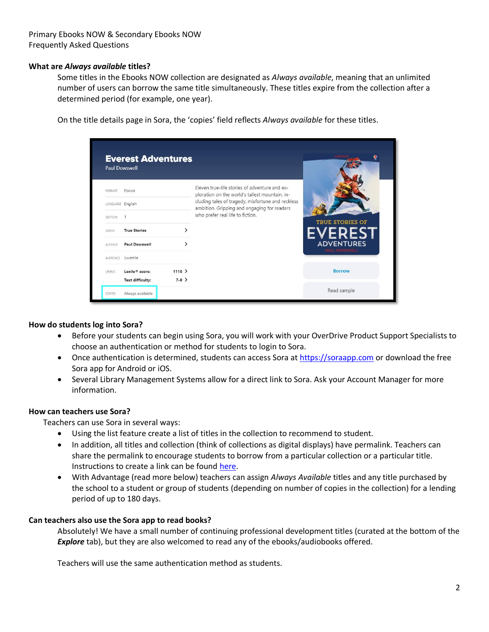Primary Ebooks NOW & Secondary Ebooks NOW Frequently Asked Questions

## **What are** *Always available* **titles?**

Some titles in the Ebooks NOW collection are designated as *Always available*, meaning that an unlimited number of users can borrow the same title simultaneously. These titles expire from the collection after a determined period (for example, one year).

On the title details page in Sora, the 'copies' field reflects *Always available* for these titles.

| <b>Paul Dowswell</b> | <b>Everest Adventures</b>  |          |                                                                                                  |                                    |
|----------------------|----------------------------|----------|--------------------------------------------------------------------------------------------------|------------------------------------|
| FORMAT               | Ebook                      |          | Fleven true-life stories of adventure and ex-<br>ploration on the world's tallest mountain, in-  |                                    |
| LANGUAGE English     |                            |          | cluding tales of tragedy, misfortune and reckless<br>ambition. Gripping and engaging for readers |                                    |
| <b>FDITION</b>       |                            |          | who prefer real life to fiction.                                                                 | TRUE STORIES OF                    |
| SERIES               | <b>True Stories</b>        |          |                                                                                                  | <b>ERES</b>                        |
| <b>AUTHOR</b>        | Paul Dowswell              |          |                                                                                                  | <b>ADVENTURES</b><br>PAUL DOWSWELL |
| AUDIENCE Juvenile    |                            |          |                                                                                                  |                                    |
|                      | Lexile <sup>®</sup> score: | $1110$ > |                                                                                                  | <b>Borrow</b>                      |
| LEVELS               |                            |          |                                                                                                  |                                    |

#### **How do students log into Sora?**

- Before your students can begin using Sora, you will work with your OverDrive Product Support Specialists to choose an authentication or method for students to login to Sora.
- Once authentication is determined, students can access Sora at [https://soraapp.com](https://soraapp.com/) or download the free Sora app for Android or iOS.
- Several Library Management Systems allow for a direct link to Sora. Ask your Account Manager for more information.

#### **How can teachers use Sora?**

Teachers can use Sora in several ways:

- Using the list feature create a list of titles in the collection to recommend to student.
- In addition, all titles and collection (think of collections as digital displays) have permalink. Teachers can share the permalink to encourage students to borrow from a particular collection or a particular title. Instructions to create a link can be found [here.](https://help.soraapp.com/en-us/5039.htm)
- With Advantage (read more below) teachers can assign *Always Available* titles and any title purchased by the school to a student or group of students (depending on number of copies in the collection) for a lending period of up to 180 days.

#### **Can teachers also use the Sora app to read books?**

Absolutely! We have a small number of continuing professional development titles (curated at the bottom of the **Explore** tab), but they are also welcomed to read any of the ebooks/audiobooks offered.

Teachers will use the same authentication method as students.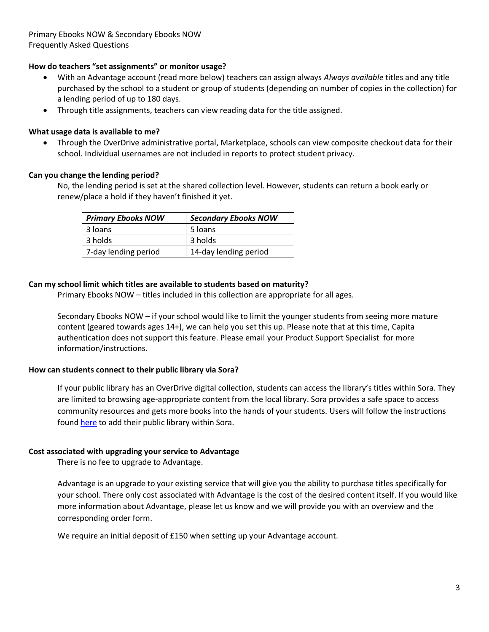Primary Ebooks NOW & Secondary Ebooks NOW Frequently Asked Questions

# **How do teachers "set assignments" or monitor usage?**

- With an Advantage account (read more below) teachers can assign always *Always available* titles and any title purchased by the school to a student or group of students (depending on number of copies in the collection) for a lending period of up to 180 days.
- Through title assignments, teachers can view reading data for the title assigned.

# **What usage data is available to me?**

• Through the OverDrive administrative portal, Marketplace, schools can view composite checkout data for their school. Individual usernames are not included in reports to protect student privacy.

# **Can you change the lending period?**

No, the lending period is set at the shared collection level. However, students can return a book early or renew/place a hold if they haven't finished it yet.

| <b>Primary Ebooks NOW</b> | <b>Secondary Ebooks NOW</b> |
|---------------------------|-----------------------------|
| 3 loans                   | 5 loans                     |
| 3 holds                   | 3 holds                     |
| 7-day lending period      | 14-day lending period       |

# **Can my school limit which titles are available to students based on maturity?**

Primary Ebooks NOW – titles included in this collection are appropriate for all ages.

Secondary Ebooks NOW – if your school would like to limit the younger students from seeing more mature content (geared towards ages 14+), we can help you set this up. Please note that at this time, Capita authentication does not support this feature. Please email your Product Support Specialist for more information/instructions.

## **How can students connect to their public library via Sora?**

If your public library has an OverDrive digital collection, students can access the library's titles within Sora. They are limited to browsing age-appropriate content from the local library. Sora provides a safe space to access community resources and gets more books into the hands of your students. Users will follow the instructions found [here](https://help.soraapp.com/en-us/5028.htm) to add their public library within Sora.

## **Cost associated with upgrading your service to Advantage**

There is no fee to upgrade to Advantage.

Advantage is an upgrade to your existing service that will give you the ability to purchase titles specifically for your school. There only cost associated with Advantage is the cost of the desired content itself. If you would like more information about Advantage, please let us know and we will provide you with an overview and the corresponding order form.

We require an initial deposit of £150 when setting up your Advantage account.